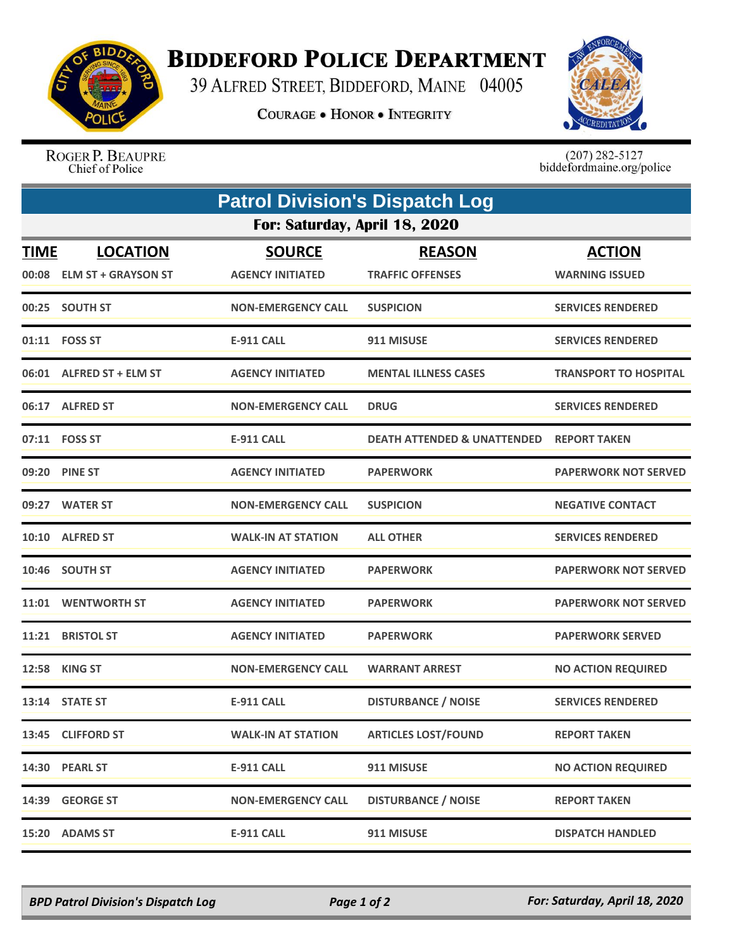

## **BIDDEFORD POLICE DEPARTMENT**

39 ALFRED STREET, BIDDEFORD, MAINE 04005

**COURAGE . HONOR . INTEGRITY** 



ROGER P. BEAUPRE Chief of Police

 $(207)$  282-5127<br>biddefordmaine.org/police

| <b>Patrol Division's Dispatch Log</b> |                                              |                                          |                                          |                                        |  |  |  |
|---------------------------------------|----------------------------------------------|------------------------------------------|------------------------------------------|----------------------------------------|--|--|--|
| For: Saturday, April 18, 2020         |                                              |                                          |                                          |                                        |  |  |  |
| <b>TIME</b>                           | <b>LOCATION</b><br>00:08 ELM ST + GRAYSON ST | <b>SOURCE</b><br><b>AGENCY INITIATED</b> | <b>REASON</b><br><b>TRAFFIC OFFENSES</b> | <b>ACTION</b><br><b>WARNING ISSUED</b> |  |  |  |
|                                       | 00:25 SOUTH ST                               | <b>NON-EMERGENCY CALL</b>                | <b>SUSPICION</b>                         | <b>SERVICES RENDERED</b>               |  |  |  |
|                                       | 01:11 FOSS ST                                | <b>E-911 CALL</b>                        | 911 MISUSE                               | <b>SERVICES RENDERED</b>               |  |  |  |
|                                       | 06:01 ALFRED ST + ELM ST                     | <b>AGENCY INITIATED</b>                  | <b>MENTAL ILLNESS CASES</b>              | <b>TRANSPORT TO HOSPITAL</b>           |  |  |  |
|                                       | 06:17 ALFRED ST                              | <b>NON-EMERGENCY CALL</b>                | <b>DRUG</b>                              | <b>SERVICES RENDERED</b>               |  |  |  |
|                                       | 07:11 FOSS ST                                | <b>E-911 CALL</b>                        | <b>DEATH ATTENDED &amp; UNATTENDED</b>   | <b>REPORT TAKEN</b>                    |  |  |  |
|                                       | 09:20 PINE ST                                | <b>AGENCY INITIATED</b>                  | <b>PAPERWORK</b>                         | <b>PAPERWORK NOT SERVED</b>            |  |  |  |
|                                       | 09:27 WATER ST                               | <b>NON-EMERGENCY CALL</b>                | <b>SUSPICION</b>                         | <b>NEGATIVE CONTACT</b>                |  |  |  |
|                                       | 10:10 ALFRED ST                              | <b>WALK-IN AT STATION</b>                | <b>ALL OTHER</b>                         | <b>SERVICES RENDERED</b>               |  |  |  |
|                                       | 10:46 SOUTH ST                               | <b>AGENCY INITIATED</b>                  | <b>PAPERWORK</b>                         | <b>PAPERWORK NOT SERVED</b>            |  |  |  |
|                                       | 11:01 WENTWORTH ST                           | <b>AGENCY INITIATED</b>                  | <b>PAPERWORK</b>                         | <b>PAPERWORK NOT SERVED</b>            |  |  |  |
| 11:21                                 | <b>BRISTOL ST</b>                            | <b>AGENCY INITIATED</b>                  | <b>PAPERWORK</b>                         | <b>PAPERWORK SERVED</b>                |  |  |  |
|                                       | <b>12:58 KING ST</b>                         | <b>NON-EMERGENCY CALL</b>                | <b>WARRANT ARREST</b>                    | <b>NO ACTION REQUIRED</b>              |  |  |  |
|                                       | 13:14 STATE ST                               | <b>E-911 CALL</b>                        | <b>DISTURBANCE / NOISE</b>               | <b>SERVICES RENDERED</b>               |  |  |  |
|                                       | 13:45 CLIFFORD ST                            | <b>WALK-IN AT STATION</b>                | <b>ARTICLES LOST/FOUND</b>               | <b>REPORT TAKEN</b>                    |  |  |  |
|                                       | 14:30 PEARL ST                               | <b>E-911 CALL</b>                        | 911 MISUSE                               | <b>NO ACTION REQUIRED</b>              |  |  |  |
| 14:39                                 | <b>GEORGE ST</b>                             | NON-EMERGENCY CALL                       | <b>DISTURBANCE / NOISE</b>               | <b>REPORT TAKEN</b>                    |  |  |  |
| 15:20                                 | <b>ADAMS ST</b>                              | <b>E-911 CALL</b>                        | 911 MISUSE                               | <b>DISPATCH HANDLED</b>                |  |  |  |